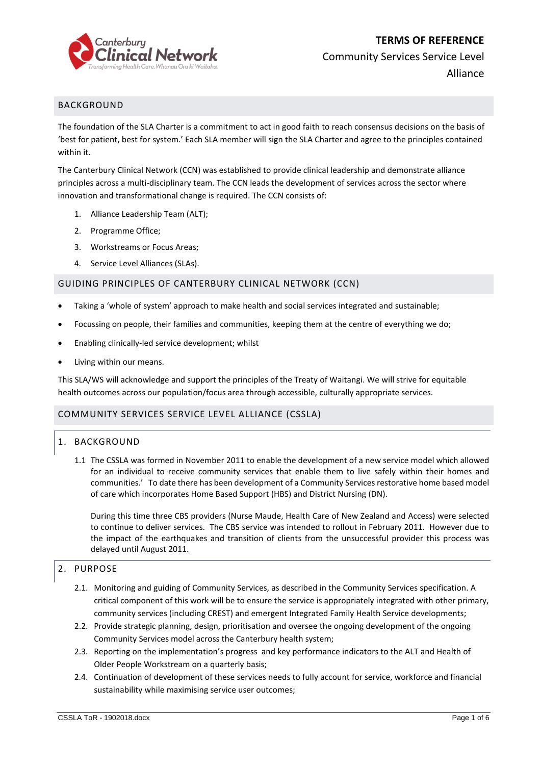

Community Services Service Level

Alliance

# BACKGROUND

The foundation of the SLA Charter is a commitment to act in good faith to reach consensus decisions on the basis of 'best for patient, best for system.' Each SLA member will sign the SLA Charter and agree to the principles contained within it.

The Canterbury Clinical Network (CCN) was established to provide clinical leadership and demonstrate alliance principles across a multi-disciplinary team. The CCN leads the development of services across the sector where innovation and transformational change is required. The CCN consists of:

- 1. Alliance Leadership Team (ALT);
- 2. Programme Office;
- 3. Workstreams or Focus Areas;
- 4. Service Level Alliances (SLAs).

### GUIDING PRINCIPLES OF CANTERBURY CLINICAL NETWORK (CCN)

- Taking a 'whole of system' approach to make health and social services integrated and sustainable;
- Focussing on people, their families and communities, keeping them at the centre of everything we do;
- Enabling clinically-led service development; whilst
- Living within our means.

This SLA/WS will acknowledge and support the principles of the Treaty of Waitangi. We will strive for equitable health outcomes across our population/focus area through accessible, culturally appropriate services.

### COMMUNITY SERVICES SERVICE LEVEL ALLIANCE (CSSLA)

## 1. BACKGROUND

1.1 The CSSLA was formed in November 2011 to enable the development of a new service model which allowed for an individual to receive community services that enable them to live safely within their homes and communities.' To date there has been development of a Community Services restorative home based model of care which incorporates Home Based Support (HBS) and District Nursing (DN).

During this time three CBS providers (Nurse Maude, Health Care of New Zealand and Access) were selected to continue to deliver services. The CBS service was intended to rollout in February 2011. However due to the impact of the earthquakes and transition of clients from the unsuccessful provider this process was delayed until August 2011.

## 2. PURPOSE

- 2.1. Monitoring and guiding of Community Services, as described in the Community Services specification. A critical component of this work will be to ensure the service is appropriately integrated with other primary, community services (including CREST) and emergent Integrated Family Health Service developments;
- 2.2. Provide strategic planning, design, prioritisation and oversee the ongoing development of the ongoing Community Services model across the Canterbury health system;
- 2.3. Reporting on the implementation's progress and key performance indicators to the ALT and Health of Older People Workstream on a quarterly basis;
- 2.4. Continuation of development of these services needs to fully account for service, workforce and financial sustainability while maximising service user outcomes;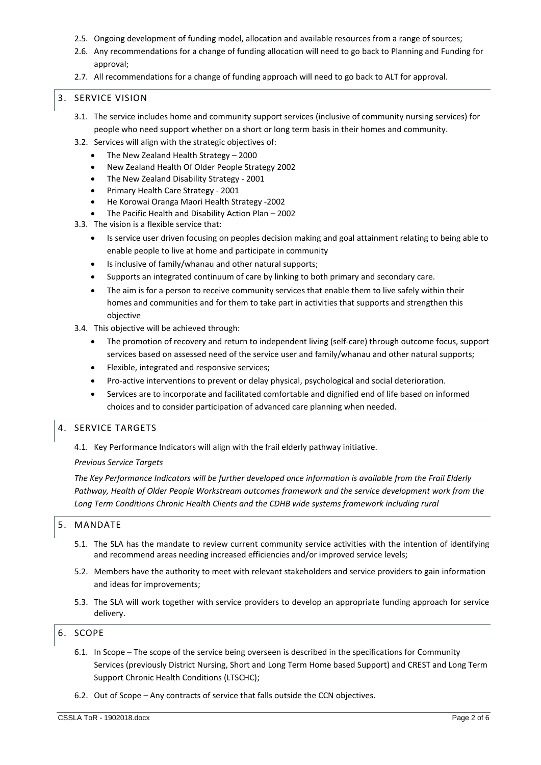- 2.5. Ongoing development of funding model, allocation and available resources from a range of sources;
- 2.6. Any recommendations for a change of funding allocation will need to go back to Planning and Funding for approval;
- 2.7. All recommendations for a change of funding approach will need to go back to ALT for approval.

## 3. SERVICE VISION

- 3.1. The service includes home and community support services (inclusive of community nursing services) for people who need support whether on a short or long term basis in their homes and community.
- 3.2. Services will align with the strategic objectives of:
	- The New Zealand Health Strategy 2000
	- New Zealand Health Of Older People Strategy 2002
	- The New Zealand Disability Strategy 2001
	- Primary Health Care Strategy 2001
	- He Korowai Oranga Maori Health Strategy -2002
	- The Pacific Health and Disability Action Plan 2002
- 3.3. The vision is a flexible service that:
	- Is service user driven focusing on peoples decision making and goal attainment relating to being able to enable people to live at home and participate in community
	- Is inclusive of family/whanau and other natural supports;
	- Supports an integrated continuum of care by linking to both primary and secondary care.
	- The aim is for a person to receive community services that enable them to live safely within their homes and communities and for them to take part in activities that supports and strengthen this objective
- 3.4. This objective will be achieved through:
	- The promotion of recovery and return to independent living (self-care) through outcome focus, support services based on assessed need of the service user and family/whanau and other natural supports;
	- Flexible, integrated and responsive services;
	- Pro-active interventions to prevent or delay physical, psychological and social deterioration.
	- Services are to incorporate and facilitated comfortable and dignified end of life based on informed choices and to consider participation of advanced care planning when needed.

## 4. SERVICE TARGETS

4.1. Key Performance Indicators will align with the frail elderly pathway initiative.

### *Previous Service Targets*

*The Key Performance Indicators will be further developed once information is available from the Frail Elderly Pathway, Health of Older People Workstream outcomes framework and the service development work from the Long Term Conditions Chronic Health Clients and the CDHB wide systems framework including rural*

## 5. MANDATE

- 5.1. The SLA has the mandate to review current community service activities with the intention of identifying and recommend areas needing increased efficiencies and/or improved service levels;
- 5.2. Members have the authority to meet with relevant stakeholders and service providers to gain information and ideas for improvements;
- 5.3. The SLA will work together with service providers to develop an appropriate funding approach for service delivery.

### 6. SCOPE

- 6.1. In Scope The scope of the service being overseen is described in the specifications for Community Services (previously District Nursing, Short and Long Term Home based Support) and CREST and Long Term Support Chronic Health Conditions (LTSCHC);
- 6.2. Out of Scope Any contracts of service that falls outside the CCN objectives.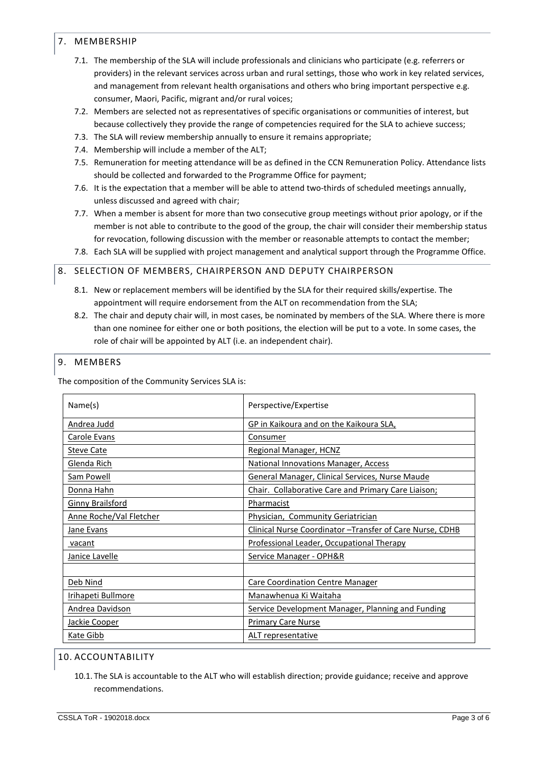## 7. MEMBERSHIP

- 7.1. The membership of the SLA will include professionals and clinicians who participate (e.g. referrers or providers) in the relevant services across urban and rural settings, those who work in key related services, and management from relevant health organisations and others who bring important perspective e.g. consumer, Maori, Pacific, migrant and/or rural voices;
- 7.2. Members are selected not as representatives of specific organisations or communities of interest, but because collectively they provide the range of competencies required for the SLA to achieve success;
- 7.3. The SLA will review membership annually to ensure it remains appropriate;
- 7.4. Membership will include a member of the ALT;
- 7.5. Remuneration for meeting attendance will be as defined in the CCN Remuneration Policy. Attendance lists should be collected and forwarded to the Programme Office for payment;
- 7.6. It is the expectation that a member will be able to attend two-thirds of scheduled meetings annually, unless discussed and agreed with chair;
- 7.7. When a member is absent for more than two consecutive group meetings without prior apology, or if the member is not able to contribute to the good of the group, the chair will consider their membership status for revocation, following discussion with the member or reasonable attempts to contact the member;
- 7.8. Each SLA will be supplied with project management and analytical support through the Programme Office.

# 8. SELECTION OF MEMBERS, CHAIRPERSON AND DEPUTY CHAIRPERSON

- 8.1. New or replacement members will be identified by the SLA for their required skills/expertise. The appointment will require endorsement from the ALT on recommendation from the SLA;
- 8.2. The chair and deputy chair will, in most cases, be nominated by members of the SLA. Where there is more than one nominee for either one or both positions, the election will be put to a vote. In some cases, the role of chair will be appointed by ALT (i.e. an independent chair).

# 9. MEMBERS

The composition of the Community Services SLA is:

| Name(s)                 | Perspective/Expertise                                     |
|-------------------------|-----------------------------------------------------------|
| Andrea Judd             | GP in Kaikoura and on the Kaikoura SLA,                   |
| Carole Evans            | Consumer                                                  |
| <b>Steve Cate</b>       | Regional Manager, HCNZ                                    |
| Glenda Rich             | <b>National Innovations Manager, Access</b>               |
| Sam Powell              | <b>General Manager, Clinical Services, Nurse Maude</b>    |
| Donna Hahn              | Chair. Collaborative Care and Primary Care Liaison;       |
| Ginny Brailsford        | Pharmacist                                                |
| Anne Roche/Val Fletcher | Physician, Community Geriatrician                         |
| Jane Evans              | Clinical Nurse Coordinator - Transfer of Care Nurse, CDHB |
| vacant                  | Professional Leader, Occupational Therapy                 |
| Janice Lavelle          | Service Manager - OPH&R                                   |
|                         |                                                           |
| Deb Nind                | Care Coordination Centre Manager                          |
| Irihapeti Bullmore      | Manawhenua Ki Waitaha                                     |
| Andrea Davidson         | Service Development Manager, Planning and Funding         |
| Jackie Cooper           | <b>Primary Care Nurse</b>                                 |
| Kate Gibb               | ALT representative                                        |

## 10. ACCOUNTABILITY

10.1. The SLA is accountable to the ALT who will establish direction; provide guidance; receive and approve recommendations.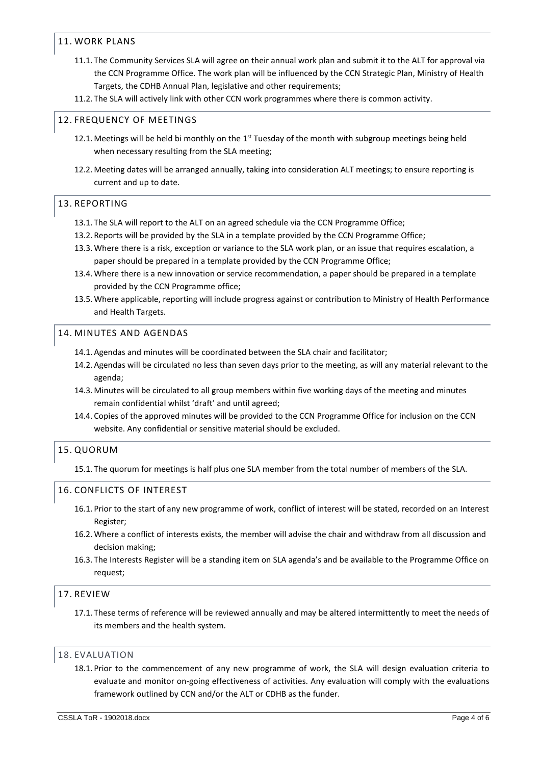## 11. WORK PLANS

- 11.1. The Community Services SLA will agree on their annual work plan and submit it to the ALT for approval via the CCN Programme Office. The work plan will be influenced by the CCN Strategic Plan, Ministry of Health Targets, the CDHB Annual Plan, legislative and other requirements;
- 11.2. The SLA will actively link with other CCN work programmes where there is common activity.

# 12. FREQUENCY OF MEETINGS

- 12.1. Meetings will be held bi monthly on the 1<sup>st</sup> Tuesday of the month with subgroup meetings being held when necessary resulting from the SLA meeting;
- 12.2. Meeting dates will be arranged annually, taking into consideration ALT meetings; to ensure reporting is current and up to date.

### 13. REPORTING

- 13.1. The SLA will report to the ALT on an agreed schedule via the CCN Programme Office;
- 13.2. Reports will be provided by the SLA in a template provided by the CCN Programme Office;
- 13.3.Where there is a risk, exception or variance to the SLA work plan, or an issue that requires escalation, a paper should be prepared in a template provided by the CCN Programme Office;
- 13.4.Where there is a new innovation or service recommendation, a paper should be prepared in a template provided by the CCN Programme office;
- 13.5.Where applicable, reporting will include progress against or contribution to Ministry of Health Performance and Health Targets.

# 14. MINUTES AND AGENDAS

- 14.1. Agendas and minutes will be coordinated between the SLA chair and facilitator;
- 14.2. Agendas will be circulated no less than seven days prior to the meeting, as will any material relevant to the agenda;
- 14.3. Minutes will be circulated to all group members within five working days of the meeting and minutes remain confidential whilst 'draft' and until agreed;
- 14.4. Copies of the approved minutes will be provided to the CCN Programme Office for inclusion on the CCN website. Any confidential or sensitive material should be excluded.

## 15. QUORUM

15.1. The quorum for meetings is half plus one SLA member from the total number of members of the SLA.

## 16. CONFLICTS OF INTEREST

- 16.1. Prior to the start of any new programme of work, conflict of interest will be stated, recorded on an Interest Register;
- 16.2.Where a conflict of interests exists, the member will advise the chair and withdraw from all discussion and decision making;
- 16.3. The Interests Register will be a standing item on SLA agenda's and be available to the Programme Office on request;

## 17. REVIEW

17.1. These terms of reference will be reviewed annually and may be altered intermittently to meet the needs of its members and the health system.

### 18. EVALUATION

18.1. Prior to the commencement of any new programme of work, the SLA will design evaluation criteria to evaluate and monitor on-going effectiveness of activities. Any evaluation will comply with the evaluations framework outlined by CCN and/or the ALT or CDHB as the funder.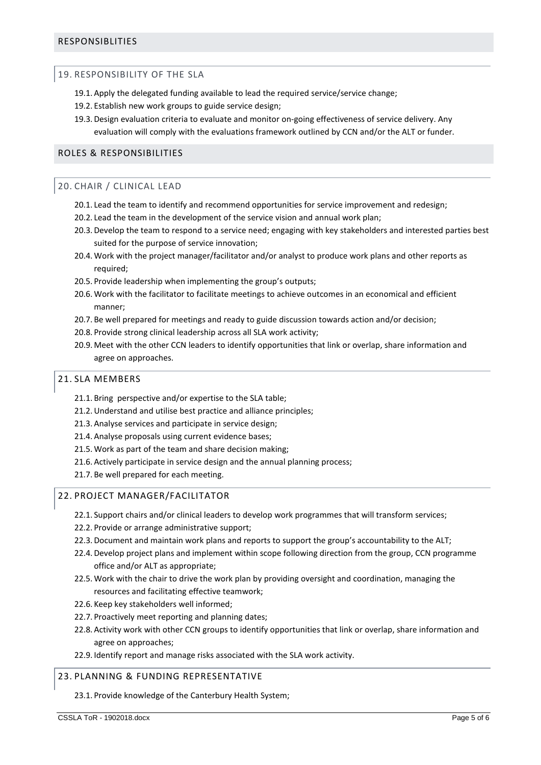### 19. RESPONSIBILITY OF THE SLA

- 19.1. Apply the delegated funding available to lead the required service/service change;
- 19.2. Establish new work groups to guide service design;
- 19.3.Design evaluation criteria to evaluate and monitor on-going effectiveness of service delivery. Any evaluation will comply with the evaluations framework outlined by CCN and/or the ALT or funder.

## ROLES & RESPONSIBILITIES

### 20. CHAIR / CLINICAL LEAD

- 20.1. Lead the team to identify and recommend opportunities for service improvement and redesign;
- 20.2. Lead the team in the development of the service vision and annual work plan;
- 20.3.Develop the team to respond to a service need; engaging with key stakeholders and interested parties best suited for the purpose of service innovation;
- 20.4.Work with the project manager/facilitator and/or analyst to produce work plans and other reports as required;
- 20.5. Provide leadership when implementing the group's outputs;
- 20.6.Work with the facilitator to facilitate meetings to achieve outcomes in an economical and efficient manner;
- 20.7. Be well prepared for meetings and ready to guide discussion towards action and/or decision;
- 20.8. Provide strong clinical leadership across all SLA work activity;
- 20.9. Meet with the other CCN leaders to identify opportunities that link or overlap, share information and agree on approaches.

#### 21. SLA MEMBERS

- 21.1. Bring perspective and/or expertise to the SLA table;
- 21.2.Understand and utilise best practice and alliance principles;
- 21.3. Analyse services and participate in service design;
- 21.4. Analyse proposals using current evidence bases;
- 21.5.Work as part of the team and share decision making;
- 21.6. Actively participate in service design and the annual planning process;
- 21.7. Be well prepared for each meeting.

### 22. PROJECT MANAGER/FACILITATOR

- 22.1. Support chairs and/or clinical leaders to develop work programmes that will transform services;
- 22.2. Provide or arrange administrative support;
- 22.3.Document and maintain work plans and reports to support the group's accountability to the ALT;
- 22.4.Develop project plans and implement within scope following direction from the group, CCN programme office and/or ALT as appropriate;
- 22.5.Work with the chair to drive the work plan by providing oversight and coordination, managing the resources and facilitating effective teamwork;
- 22.6. Keep key stakeholders well informed;
- 22.7. Proactively meet reporting and planning dates;
- 22.8. Activity work with other CCN groups to identify opportunities that link or overlap, share information and agree on approaches;
- 22.9. Identify report and manage risks associated with the SLA work activity.

### 23. PLANNING & FUNDING REPRESENTATIVE

23.1. Provide knowledge of the Canterbury Health System;